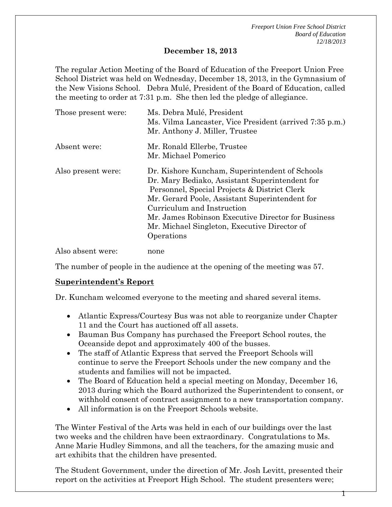*Freeport Union Free School District Board of Education 12/18/2013*

1

#### **December 18, 2013**

The regular Action Meeting of the Board of Education of the Freeport Union Free School District was held on Wednesday, December 18, 2013, in the Gymnasium of the New Visions School. Debra Mulé, President of the Board of Education, called the meeting to order at 7:31 p.m. She then led the pledge of allegiance.

| Those present were: | Ms. Debra Mulé, President<br>Ms. Vilma Lancaster, Vice President (arrived 7:35 p.m.)<br>Mr. Anthony J. Miller, Trustee                                                                                                                                                                                                                               |
|---------------------|------------------------------------------------------------------------------------------------------------------------------------------------------------------------------------------------------------------------------------------------------------------------------------------------------------------------------------------------------|
| Absent were:        | Mr. Ronald Ellerbe, Trustee<br>Mr. Michael Pomerico                                                                                                                                                                                                                                                                                                  |
| Also present were:  | Dr. Kishore Kuncham, Superintendent of Schools<br>Dr. Mary Bediako, Assistant Superintendent for<br>Personnel, Special Projects & District Clerk<br>Mr. Gerard Poole, Assistant Superintendent for<br>Curriculum and Instruction<br>Mr. James Robinson Executive Director for Business<br>Mr. Michael Singleton, Executive Director of<br>Operations |
| Also absent were:   | none                                                                                                                                                                                                                                                                                                                                                 |

The number of people in the audience at the opening of the meeting was 57.

## **Superintendent's Report**

Dr. Kuncham welcomed everyone to the meeting and shared several items.

- Atlantic Express/Courtesy Bus was not able to reorganize under Chapter 11 and the Court has auctioned off all assets.
- Bauman Bus Company has purchased the Freeport School routes, the Oceanside depot and approximately 400 of the busses.
- The staff of Atlantic Express that served the Freeport Schools will continue to serve the Freeport Schools under the new company and the students and families will not be impacted.
- The Board of Education held a special meeting on Monday, December 16, 2013 during which the Board authorized the Superintendent to consent, or withhold consent of contract assignment to a new transportation company.
- All information is on the Freeport Schools website.

The Winter Festival of the Arts was held in each of our buildings over the last two weeks and the children have been extraordinary. Congratulations to Ms. Anne Marie Hudley Simmons, and all the teachers, for the amazing music and art exhibits that the children have presented.

The Student Government, under the direction of Mr. Josh Levitt, presented their report on the activities at Freeport High School. The student presenters were;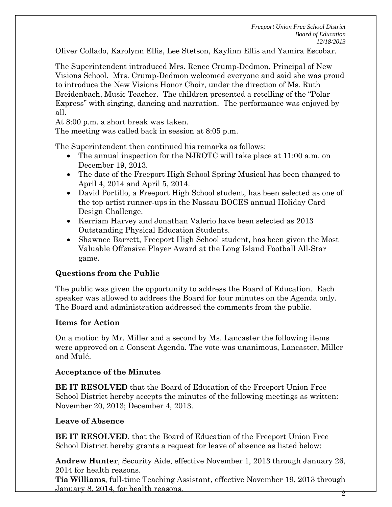Oliver Collado, Karolynn Ellis, Lee Stetson, Kaylinn Ellis and Yamira Escobar.

The Superintendent introduced Mrs. Renee Crump-Dedmon, Principal of New Visions School. Mrs. Crump-Dedmon welcomed everyone and said she was proud to introduce the New Visions Honor Choir, under the direction of Ms. Ruth Breidenbach, Music Teacher. The children presented a retelling of the "Polar Express" with singing, dancing and narration. The performance was enjoyed by all.

At 8:00 p.m. a short break was taken.

The meeting was called back in session at 8:05 p.m.

The Superintendent then continued his remarks as follows:

- The annual inspection for the NJROTC will take place at 11:00 a.m. on December 19, 2013.
- The date of the Freeport High School Spring Musical has been changed to April 4, 2014 and April 5, 2014.
- David Portillo, a Freeport High School student, has been selected as one of the top artist runner-ups in the Nassau BOCES annual Holiday Card Design Challenge.
- Kerriam Harvey and Jonathan Valerio have been selected as 2013 Outstanding Physical Education Students.
- Shawnee Barrett, Freeport High School student, has been given the Most Valuable Offensive Player Award at the Long Island Football All-Star game.

## **Questions from the Public**

The public was given the opportunity to address the Board of Education. Each speaker was allowed to address the Board for four minutes on the Agenda only. The Board and administration addressed the comments from the public.

## **Items for Action**

On a motion by Mr. Miller and a second by Ms. Lancaster the following items were approved on a Consent Agenda. The vote was unanimous, Lancaster, Miller and Mulé.

## **Acceptance of the Minutes**

**BE IT RESOLVED** that the Board of Education of the Freeport Union Free School District hereby accepts the minutes of the following meetings as written: November 20, 2013; December 4, 2013.

## **Leave of Absence**

**BE IT RESOLVED**, that the Board of Education of the Freeport Union Free School District hereby grants a request for leave of absence as listed below:

**Andrew Hunter**, Security Aide, effective November 1, 2013 through January 26, 2014 for health reasons.

**Tia Williams**, full-time Teaching Assistant, effective November 19, 2013 through January 8, 2014, for health reasons. <sup>2</sup>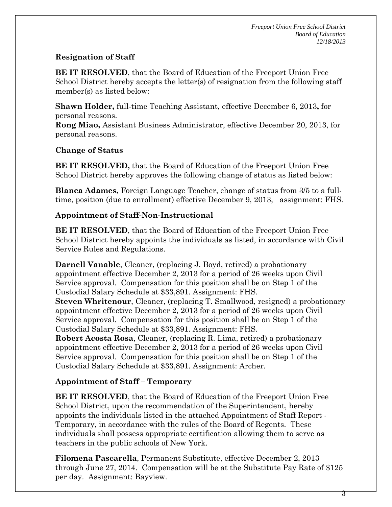# **Resignation of Staff**

**BE IT RESOLVED**, that the Board of Education of the Freeport Union Free School District hereby accepts the letter(s) of resignation from the following staff member(s) as listed below:

**Shawn Holder,** full-time Teaching Assistant, effective December 6, 2013**,** for personal reasons.

**Rong Miao,** Assistant Business Administrator, effective December 20, 2013, for personal reasons.

# **Change of Status**

**BE IT RESOLVED,** that the Board of Education of the Freeport Union Free School District hereby approves the following change of status as listed below:

**Blanca Adames,** Foreign Language Teacher, change of status from 3/5 to a fulltime, position (due to enrollment) effective December 9, 2013, assignment: FHS.

## **Appointment of Staff-Non-Instructional**

**BE IT RESOLVED**, that the Board of Education of the Freeport Union Free School District hereby appoints the individuals as listed, in accordance with Civil Service Rules and Regulations.

**Darnell Vanable**, Cleaner, (replacing J. Boyd, retired) a probationary appointment effective December 2, 2013 for a period of 26 weeks upon Civil Service approval. Compensation for this position shall be on Step 1 of the Custodial Salary Schedule at \$33,891. Assignment: FHS. **Steven Whritenour**, Cleaner, (replacing T. Smallwood, resigned) a probationary appointment effective December 2, 2013 for a period of 26 weeks upon Civil Service approval. Compensation for this position shall be on Step 1 of the Custodial Salary Schedule at \$33,891. Assignment: FHS. **Robert Acosta Rosa**, Cleaner, (replacing R. Lima, retired) a probationary appointment effective December 2, 2013 for a period of 26 weeks upon Civil

Service approval. Compensation for this position shall be on Step 1 of the Custodial Salary Schedule at \$33,891. Assignment: Archer.

# **Appointment of Staff – Temporary**

**BE IT RESOLVED**, that the Board of Education of the Freeport Union Free School District, upon the recommendation of the Superintendent, hereby appoints the individuals listed in the attached Appointment of Staff Report - Temporary, in accordance with the rules of the Board of Regents. These individuals shall possess appropriate certification allowing them to serve as teachers in the public schools of New York.

**Filomena Pascarella**, Permanent Substitute, effective December 2, 2013 through June 27, 2014. Compensation will be at the Substitute Pay Rate of \$125 per day. Assignment: Bayview.

3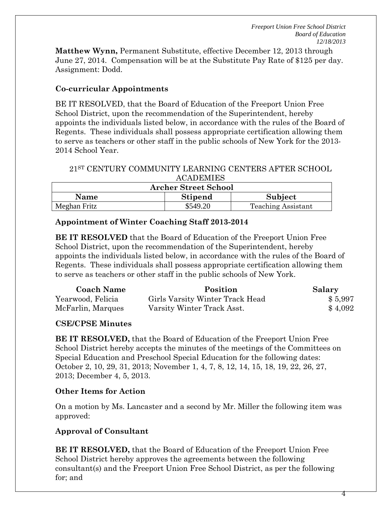*Freeport Union Free School District Board of Education 12/18/2013*

**Matthew Wynn,** Permanent Substitute, effective December 12, 2013 through June 27, 2014. Compensation will be at the Substitute Pay Rate of \$125 per day. Assignment: Dodd.

## **Co-curricular Appointments**

BE IT RESOLVED, that the Board of Education of the Freeport Union Free School District, upon the recommendation of the Superintendent, hereby appoints the individuals listed below, in accordance with the rules of the Board of Regents. These individuals shall possess appropriate certification allowing them to serve as teachers or other staff in the public schools of New York for the 2013- 2014 School Year.

## 21ST CENTURY COMMUNITY LEARNING CENTERS AFTER SCHOOL ACADEMIES

| <b>Archer Street School</b> |                |                           |  |  |  |
|-----------------------------|----------------|---------------------------|--|--|--|
| <b>Name</b>                 | <b>Stipend</b> | Subject                   |  |  |  |
| Meghan Fritz                | \$549.20       | <b>Teaching Assistant</b> |  |  |  |

## **Appointment of Winter Coaching Staff 2013-2014**

**BE IT RESOLVED** that the Board of Education of the Freeport Union Free School District, upon the recommendation of the Superintendent, hereby appoints the individuals listed below, in accordance with the rules of the Board of Regents. These individuals shall possess appropriate certification allowing them to serve as teachers or other staff in the public schools of New York.

| <b>Coach Name</b> | Position                        | Salary  |
|-------------------|---------------------------------|---------|
| Yearwood, Felicia | Girls Varsity Winter Track Head | \$5,997 |
| McFarlin, Marques | Varsity Winter Track Asst.      | \$4,092 |

# **CSE/CPSE Minutes**

**BE IT RESOLVED,** that the Board of Education of the Freeport Union Free School District hereby accepts the minutes of the meetings of the Committees on Special Education and Preschool Special Education for the following dates: October 2, 10, 29, 31, 2013; November 1, 4, 7, 8, 12, 14, 15, 18, 19, 22, 26, 27, 2013; December 4, 5, 2013.

# **Other Items for Action**

On a motion by Ms. Lancaster and a second by Mr. Miller the following item was approved:

# **Approval of Consultant**

**BE IT RESOLVED,** that the Board of Education of the Freeport Union Free School District hereby approves the agreements between the following consultant(s) and the Freeport Union Free School District, as per the following for; and

4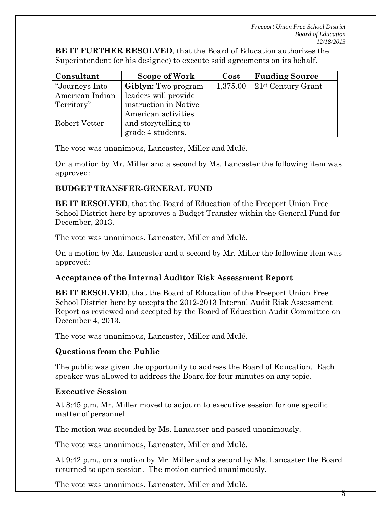**BE IT FURTHER RESOLVED**, that the Board of Education authorizes the Superintendent (or his designee) to execute said agreements on its behalf.

| Consultant      | Scope of Work              | Cost     | <b>Funding Source</b> |
|-----------------|----------------------------|----------|-----------------------|
| "Journeys Into  | <b>Giblyn:</b> Two program | 1,375.00 | $21st$ Century Grant  |
| American Indian | leaders will provide       |          |                       |
| Territory"      | instruction in Native      |          |                       |
|                 | American activities        |          |                       |
| Robert Vetter   | and storytelling to        |          |                       |
|                 | grade 4 students.          |          |                       |

The vote was unanimous, Lancaster, Miller and Mulé.

On a motion by Mr. Miller and a second by Ms. Lancaster the following item was approved:

# **BUDGET TRANSFER-GENERAL FUND**

**BE IT RESOLVED**, that the Board of Education of the Freeport Union Free School District here by approves a Budget Transfer within the General Fund for December, 2013.

The vote was unanimous, Lancaster, Miller and Mulé.

On a motion by Ms. Lancaster and a second by Mr. Miller the following item was approved:

# **Acceptance of the Internal Auditor Risk Assessment Report**

**BE IT RESOLVED**, that the Board of Education of the Freeport Union Free School District here by accepts the 2012-2013 Internal Audit Risk Assessment Report as reviewed and accepted by the Board of Education Audit Committee on December 4, 2013.

The vote was unanimous, Lancaster, Miller and Mulé.

# **Questions from the Public**

The public was given the opportunity to address the Board of Education. Each speaker was allowed to address the Board for four minutes on any topic.

# **Executive Session**

At 8:45 p.m. Mr. Miller moved to adjourn to executive session for one specific matter of personnel.

The motion was seconded by Ms. Lancaster and passed unanimously.

The vote was unanimous, Lancaster, Miller and Mulé.

At 9:42 p.m., on a motion by Mr. Miller and a second by Ms. Lancaster the Board returned to open session. The motion carried unanimously.

The vote was unanimous, Lancaster, Miller and Mulé.